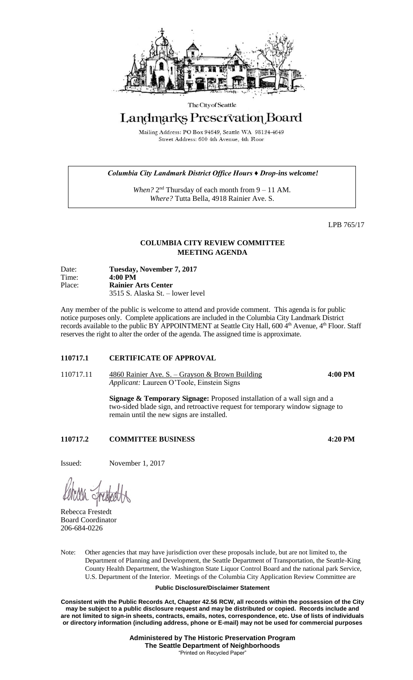

#### The City of Seattle

# Landmarks Preservation Board

Mailing Address: PO Box 94649, Seattle WA 98124-4649 Street Address: 600 4th Avenue, 4th Floor

## *Columbia City Landmark District Office Hours ♦ Drop-ins welcome!*

When? 2<sup>nd</sup> Thursday of each month from 9 – 11 AM. *Where?* Tutta Bella, 4918 Rainier Ave. S.

LPB 765/17

## **COLUMBIA CITY REVIEW COMMITTEE MEETING AGENDA**

| Date:<br>Time: | Tuesday, November 7, 2017<br>$4:00 \text{ PM}$ |
|----------------|------------------------------------------------|
| Place:         | <b>Rainier Arts Center</b>                     |
|                | 3515 S. Alaska St. – lower level               |

Any member of the public is welcome to attend and provide comment. This agenda is for public notice purposes only. Complete applications are included in the Columbia City Landmark District records available to the public BY APPOINTMENT at Seattle City Hall, 600 4<sup>th</sup> Avenue, 4<sup>th</sup> Floor. Staff reserves the right to alter the order of the agenda. The assigned time is approximate.

## **110717.1 CERTIFICATE OF APPROVAL**

110717.11 4860 Rainier Ave. S. – Grayson & Brown Building **4:00 PM** *Applicant:* Laureen O'Toole, Einstein Signs

> **Signage & Temporary Signage:** Proposed installation of a wall sign and a two-sided blade sign, and retroactive request for temporary window signage to remain until the new signs are installed.

## **110717.2 COMMITTEE BUSINESS 4:20 PM**

Issued: November 1, 2017

Rebecca Frestedt Board Coordinator 206-684-0226

Note: Other agencies that may have jurisdiction over these proposals include, but are not limited to, the Department of Planning and Development, the Seattle Department of Transportation, the Seattle-King County Health Department, the Washington State Liquor Control Board and the national park Service, U.S. Department of the Interior. Meetings of the Columbia City Application Review Committee are

## **Public Disclosure/Disclaimer Statement**

**Consistent with the Public Records Act, Chapter 42.56 RCW, all records within the possession of the City may be subject to a public disclosure request and may be distributed or copied. Records include and are not limited to sign-in sheets, contracts, emails, notes, correspondence, etc. Use of lists of individuals or directory information (including address, phone or E-mail) may not be used for commercial purposes**

> **Administered by The Historic Preservation Program The Seattle Department of Neighborhoods** "Printed on Recycled Paper"